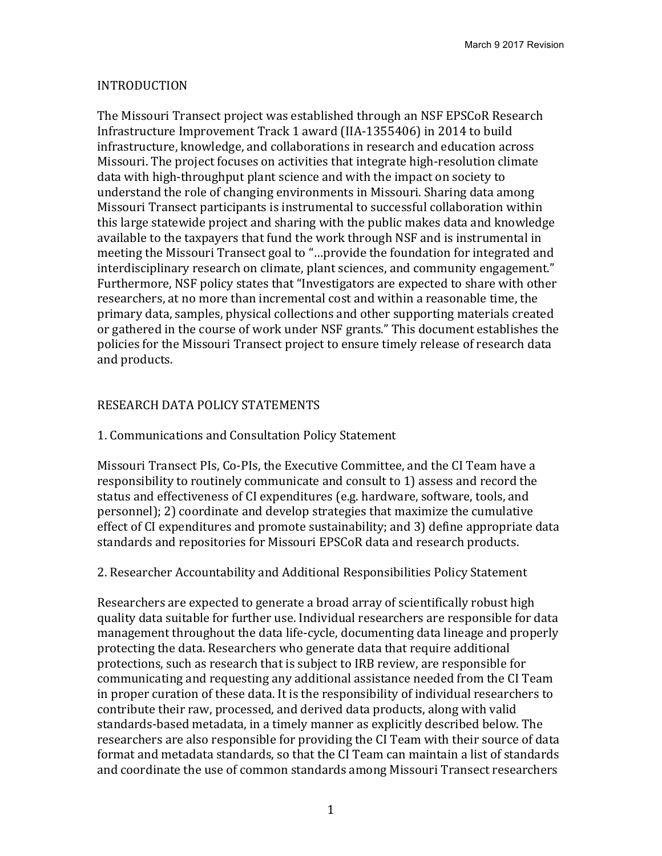## INTRODUCTION

The Missouri Transect project was established through an NSF EPSCoR Research Infrastructure Improvement Track 1 award (IIA-1355406) in 2014 to build infrastructure, knowledge, and collaborations in research and education across Missouri. The project focuses on activities that integrate high-resolution climate data with high-throughput plant science and with the impact on society to understand the role of changing environments in Missouri. Sharing data among Missouri Transect participants is instrumental to successful collaboration within this large statewide project and sharing with the public makes data and knowledge available to the taxpayers that fund the work through NSF and is instrumental in meeting the Missouri Transect goal to "...provide the foundation for integrated and interdisciplinary research on climate, plant sciences, and community engagement." Furthermore, NSF policy states that "Investigators are expected to share with other researchers, at no more than incremental cost and within a reasonable time, the primary data, samples, physical collections and other supporting materials created or gathered in the course of work under NSF grants." This document establishes the policies for the Missouri Transect project to ensure timely release of research data and products.

### RESEARCH DATA POLICY STATEMENTS

#### 1. Communications and Consultation Policy Statement

Missouri Transect PIs, Co-PIs, the Executive Committee, and the CI Team have a responsibility to routinely communicate and consult to 1) assess and record the status and effectiveness of CI expenditures (e.g. hardware, software, tools, and personnel); 2) coordinate and develop strategies that maximize the cumulative effect of CI expenditures and promote sustainability; and 3) define appropriate data standards and repositories for Missouri EPSCoR data and research products.

#### 2. Researcher Accountability and Additional Responsibilities Policy Statement

Researchers are expected to generate a broad array of scientifically robust high quality data suitable for further use. Individual researchers are responsible for data management throughout the data life-cycle, documenting data lineage and properly protecting the data. Researchers who generate data that require additional protections, such as research that is subject to IRB review, are responsible for communicating and requesting any additional assistance needed from the CI Team in proper curation of these data. It is the responsibility of individual researchers to contribute their raw, processed, and derived data products, along with valid standards-based metadata, in a timely manner as explicitly described below. The researchers are also responsible for providing the CI Team with their source of data format and metadata standards, so that the CI Team can maintain a list of standards and coordinate the use of common standards among Missouri Transect researchers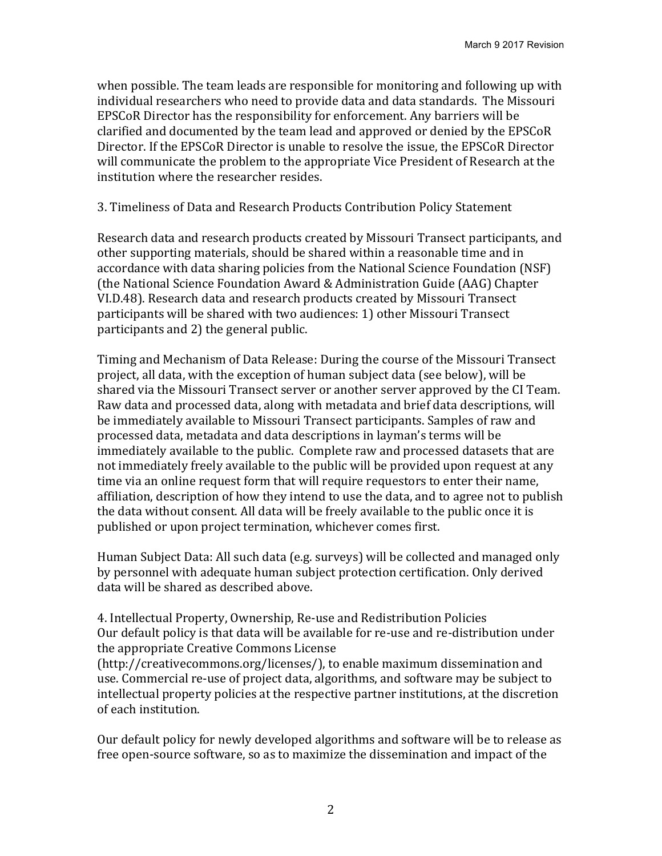when possible. The team leads are responsible for monitoring and following up with individual researchers who need to provide data and data standards. The Missouri EPSCoR Director has the responsibility for enforcement. Any barriers will be clarified and documented by the team lead and approved or denied by the EPSCoR Director. If the EPSCoR Director is unable to resolve the issue, the EPSCoR Director will communicate the problem to the appropriate Vice President of Research at the institution where the researcher resides.

3. Timeliness of Data and Research Products Contribution Policy Statement

Research data and research products created by Missouri Transect participants, and other supporting materials, should be shared within a reasonable time and in accordance with data sharing policies from the National Science Foundation (NSF) (the National Science Foundation Award & Administration Guide (AAG) Chapter VI.D.48). Research data and research products created by Missouri Transect participants will be shared with two audiences: 1) other Missouri Transect participants and 2) the general public.

Timing and Mechanism of Data Release: During the course of the Missouri Transect project, all data, with the exception of human subject data (see below), will be shared via the Missouri Transect server or another server approved by the CI Team. Raw data and processed data, along with metadata and brief data descriptions, will be immediately available to Missouri Transect participants. Samples of raw and processed data, metadata and data descriptions in layman's terms will be immediately available to the public. Complete raw and processed datasets that are not immediately freely available to the public will be provided upon request at any time via an online request form that will require requestors to enter their name, affiliation, description of how they intend to use the data, and to agree not to publish the data without consent. All data will be freely available to the public once it is published or upon project termination, whichever comes first.

Human Subject Data: All such data (e.g. surveys) will be collected and managed only by personnel with adequate human subject protection certification. Only derived data will be shared as described above.

4. Intellectual Property, Ownership, Re-use and Redistribution Policies Our default policy is that data will be available for re-use and re-distribution under the appropriate Creative Commons License (http://creativecommons.org/licenses/), to enable maximum dissemination and

use. Commercial re-use of project data, algorithms, and software may be subject to intellectual property policies at the respective partner institutions, at the discretion of each institution.

Our default policy for newly developed algorithms and software will be to release as free open-source software, so as to maximize the dissemination and impact of the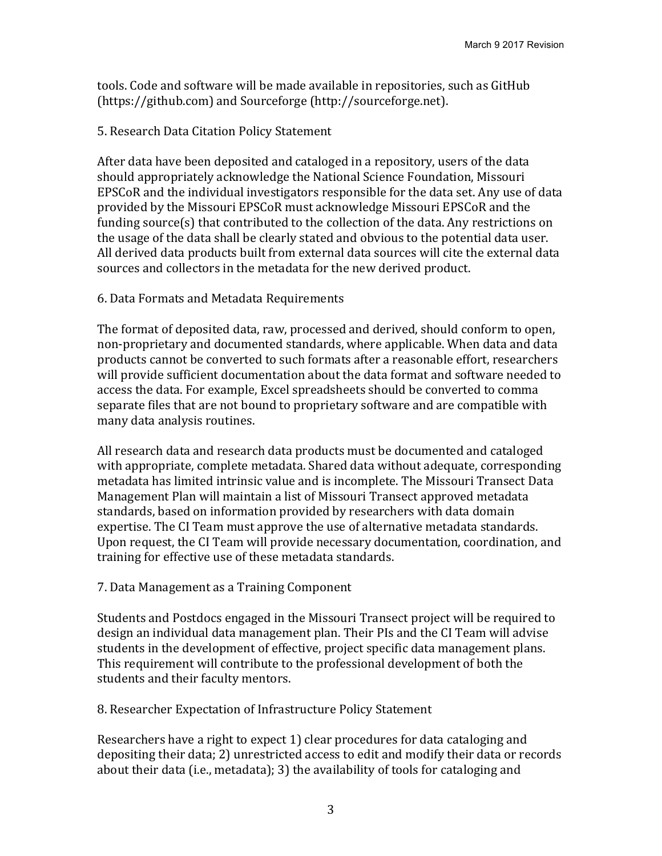tools. Code and software will be made available in repositories, such as GitHub (https://github.com) and Sourceforge (http://sourceforge.net).

## 5. Research Data Citation Policy Statement

After data have been deposited and cataloged in a repository, users of the data should appropriately acknowledge the National Science Foundation, Missouri EPSCoR and the individual investigators responsible for the data set. Any use of data provided by the Missouri EPSCoR must acknowledge Missouri EPSCoR and the funding source(s) that contributed to the collection of the data. Any restrictions on the usage of the data shall be clearly stated and obvious to the potential data user. All derived data products built from external data sources will cite the external data sources and collectors in the metadata for the new derived product.

### 6. Data Formats and Metadata Requirements

The format of deposited data, raw, processed and derived, should conform to open, non-proprietary and documented standards, where applicable. When data and data products cannot be converted to such formats after a reasonable effort, researchers will provide sufficient documentation about the data format and software needed to access the data. For example, Excel spreadsheets should be converted to comma separate files that are not bound to proprietary software and are compatible with many data analysis routines.

All research data and research data products must be documented and cataloged with appropriate, complete metadata. Shared data without adequate, corresponding metadata has limited intrinsic value and is incomplete. The Missouri Transect Data Management Plan will maintain a list of Missouri Transect approved metadata standards, based on information provided by researchers with data domain expertise. The CI Team must approve the use of alternative metadata standards. Upon request, the CI Team will provide necessary documentation, coordination, and training for effective use of these metadata standards.

# 7. Data Management as a Training Component

Students and Postdocs engaged in the Missouri Transect project will be required to design an individual data management plan. Their PIs and the CI Team will advise students in the development of effective, project specific data management plans. This requirement will contribute to the professional development of both the students and their faculty mentors.

# 8. Researcher Expectation of Infrastructure Policy Statement

Researchers have a right to expect 1) clear procedures for data cataloging and depositing their data; 2) unrestricted access to edit and modify their data or records about their data (i.e., metadata); 3) the availability of tools for cataloging and